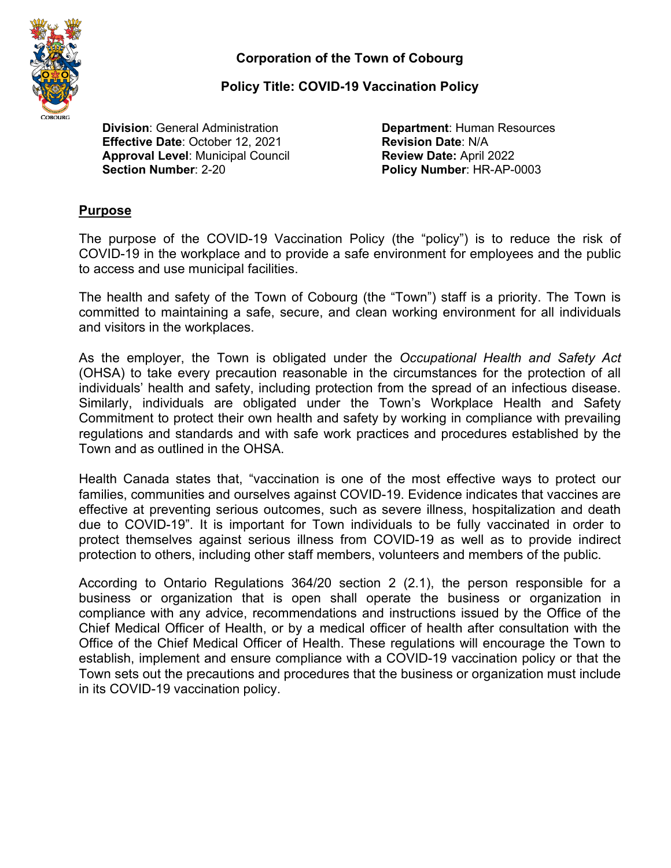

**Policy Title: COVID-19 Vaccination Policy**

**Division**: General Administration **Department**: Human Resources **Effective Date**: October 12, 2021 **Revision Date**: N/A **Approval Level**: Municipal Council **Review Date:** April 2022

**Policy Number: HR-AP-0003** 

## **Purpose**

The purpose of the COVID-19 Vaccination Policy (the "policy") is to reduce the risk of COVID-19 in the workplace and to provide a safe environment for employees and the public to access and use municipal facilities.

The health and safety of the Town of Cobourg (the "Town") staff is a priority. The Town is committed to maintaining a safe, secure, and clean working environment for all individuals and visitors in the workplaces.

As the employer, the Town is obligated under the *Occupational Health and Safety Act* (OHSA) to take every precaution reasonable in the circumstances for the protection of all individuals' health and safety, including protection from the spread of an infectious disease. Similarly, individuals are obligated under the Town's Workplace Health and Safety Commitment to protect their own health and safety by working in compliance with prevailing regulations and standards and with safe work practices and procedures established by the Town and as outlined in the OHSA.

Health Canada states that, "vaccination is one of the most effective ways to protect our families, communities and ourselves against COVID-19. Evidence indicates that vaccines are effective at preventing serious outcomes, such as severe illness, hospitalization and death due to COVID-19". It is important for Town individuals to be fully vaccinated in order to protect themselves against serious illness from COVID-19 as well as to provide indirect protection to others, including other staff members, volunteers and members of the public.

According to Ontario Regulations 364/20 section 2 (2.1), the person responsible for a business or organization that is open shall operate the business or organization in compliance with any advice, recommendations and instructions issued by the Office of the Chief Medical Officer of Health, or by a medical officer of health after consultation with the Office of the Chief Medical Officer of Health. These regulations will encourage the Town to establish, implement and ensure compliance with a COVID-19 vaccination policy or that the Town sets out the precautions and procedures that the business or organization must include in its COVID-19 vaccination policy.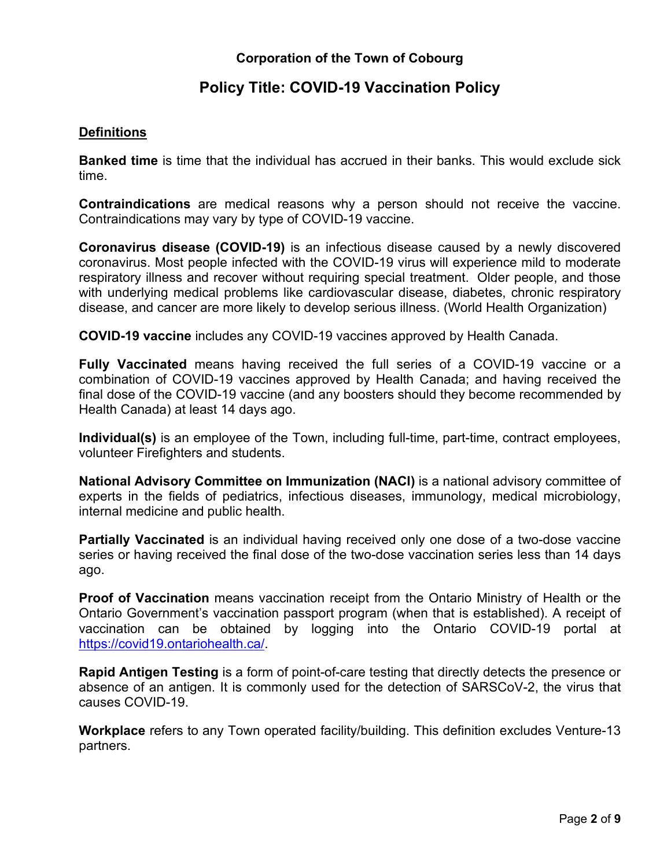# **Policy Title: COVID-19 Vaccination Policy**

## **Definitions**

**Banked time** is time that the individual has accrued in their banks. This would exclude sick time.

**Contraindications** are medical reasons why a person should not receive the vaccine. Contraindications may vary by type of COVID-19 vaccine.

**Coronavirus disease (COVID-19)** is an infectious disease caused by a newly discovered coronavirus. Most people infected with the COVID-19 virus will experience mild to moderate respiratory illness and recover without requiring special treatment. Older people, and those with underlying medical problems like cardiovascular disease, diabetes, chronic respiratory disease, and cancer are more likely to develop serious illness. (World Health Organization)

**COVID-19 vaccine** includes any COVID-19 vaccines approved by Health Canada.

**Fully Vaccinated** means having received the full series of a COVID-19 vaccine or a combination of COVID-19 vaccines approved by Health Canada; and having received the final dose of the COVID-19 vaccine (and any boosters should they become recommended by Health Canada) at least 14 days ago.

**Individual(s)** is an employee of the Town, including full-time, part-time, contract employees, volunteer Firefighters and students.

**National Advisory Committee on Immunization (NACI)** is a national advisory committee of experts in the fields of pediatrics, infectious diseases, immunology, medical microbiology, internal medicine and public health.

**Partially Vaccinated** is an individual having received only one dose of a two-dose vaccine series or having received the final dose of the two-dose vaccination series less than 14 days ago.

**Proof of Vaccination** means vaccination receipt from the Ontario Ministry of Health or the Ontario Government's vaccination passport program (when that is established). A receipt of vaccination can be obtained by logging into the Ontario COVID-19 portal at [https://covid19.ontariohealth.ca/.](https://covid19.ontariohealth.ca/)

**Rapid Antigen Testing** is a form of point-of-care testing that directly detects the presence or absence of an antigen. It is commonly used for the detection of SARSCoV-2, the virus that causes COVID-19.

**Workplace** refers to any Town operated facility/building. This definition excludes Venture-13 partners.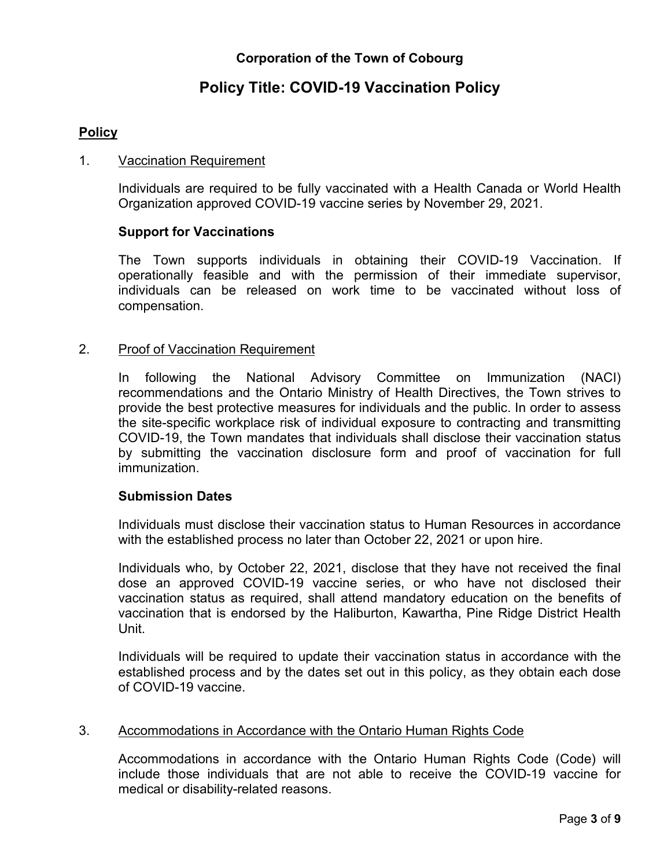# **Policy Title: COVID-19 Vaccination Policy**

## **Policy**

#### 1. Vaccination Requirement

Individuals are required to be fully vaccinated with a Health Canada or World Health Organization approved COVID-19 vaccine series by November 29, 2021.

## **Support for Vaccinations**

The Town supports individuals in obtaining their COVID-19 Vaccination. If operationally feasible and with the permission of their immediate supervisor, individuals can be released on work time to be vaccinated without loss of compensation.

#### 2. Proof of Vaccination Requirement

In following the National Advisory Committee on Immunization (NACI) recommendations and the Ontario Ministry of Health Directives, the Town strives to provide the best protective measures for individuals and the public. In order to assess the site-specific workplace risk of individual exposure to contracting and transmitting COVID-19, the Town mandates that individuals shall disclose their vaccination status by submitting the vaccination disclosure form and proof of vaccination for full immunization.

## **Submission Dates**

Individuals must disclose their vaccination status to Human Resources in accordance with the established process no later than October 22, 2021 or upon hire.

Individuals who, by October 22, 2021, disclose that they have not received the final dose an approved COVID-19 vaccine series, or who have not disclosed their vaccination status as required, shall attend mandatory education on the benefits of vaccination that is endorsed by the Haliburton, Kawartha, Pine Ridge District Health Unit.

Individuals will be required to update their vaccination status in accordance with the established process and by the dates set out in this policy, as they obtain each dose of COVID-19 vaccine.

#### 3. Accommodations in Accordance with the Ontario Human Rights Code

Accommodations in accordance with the Ontario Human Rights Code (Code) will include those individuals that are not able to receive the COVID-19 vaccine for medical or disability-related reasons.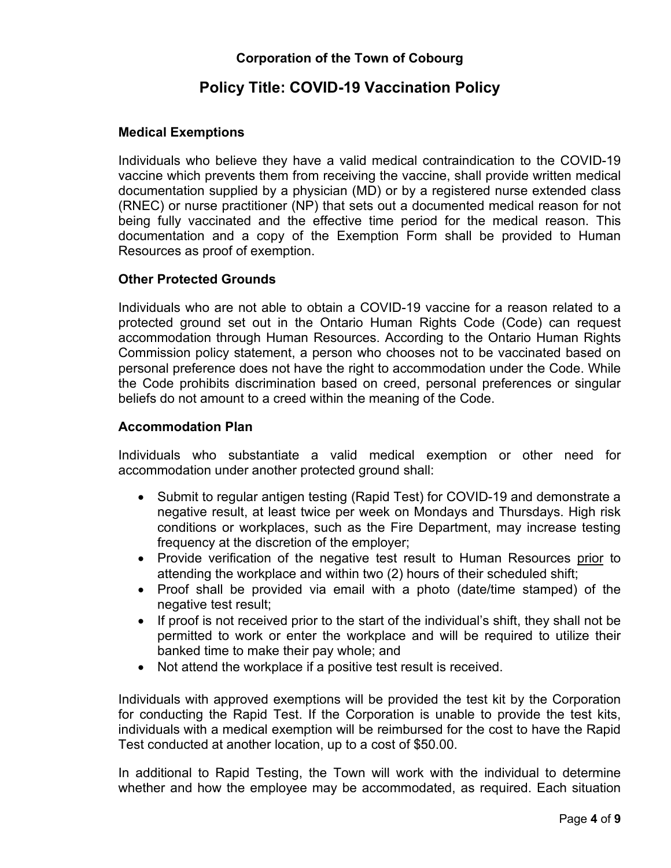# **Policy Title: COVID-19 Vaccination Policy**

## **Medical Exemptions**

Individuals who believe they have a valid medical contraindication to the COVID-19 vaccine which prevents them from receiving the vaccine, shall provide written medical documentation supplied by a physician (MD) or by a registered nurse extended class (RNEC) or nurse practitioner (NP) that sets out a documented medical reason for not being fully vaccinated and the effective time period for the medical reason. This documentation and a copy of the Exemption Form shall be provided to Human Resources as proof of exemption.

## **Other Protected Grounds**

Individuals who are not able to obtain a COVID-19 vaccine for a reason related to a protected ground set out in the Ontario Human Rights Code (Code) can request accommodation through Human Resources. According to the Ontario Human Rights Commission policy statement, a person who chooses not to be vaccinated based on personal preference does not have the right to accommodation under the Code. While the Code prohibits discrimination based on creed, personal preferences or singular beliefs do not amount to a creed within the meaning of the Code.

#### **Accommodation Plan**

Individuals who substantiate a valid medical exemption or other need for accommodation under another protected ground shall:

- Submit to regular antigen testing (Rapid Test) for COVID-19 and demonstrate a negative result, at least twice per week on Mondays and Thursdays. High risk conditions or workplaces, such as the Fire Department, may increase testing frequency at the discretion of the employer;
- Provide verification of the negative test result to Human Resources prior to attending the workplace and within two (2) hours of their scheduled shift;
- Proof shall be provided via email with a photo (date/time stamped) of the negative test result;
- If proof is not received prior to the start of the individual's shift, they shall not be permitted to work or enter the workplace and will be required to utilize their banked time to make their pay whole; and
- Not attend the workplace if a positive test result is received.

Individuals with approved exemptions will be provided the test kit by the Corporation for conducting the Rapid Test. If the Corporation is unable to provide the test kits, individuals with a medical exemption will be reimbursed for the cost to have the Rapid Test conducted at another location, up to a cost of \$50.00.

In additional to Rapid Testing, the Town will work with the individual to determine whether and how the employee may be accommodated, as required. Each situation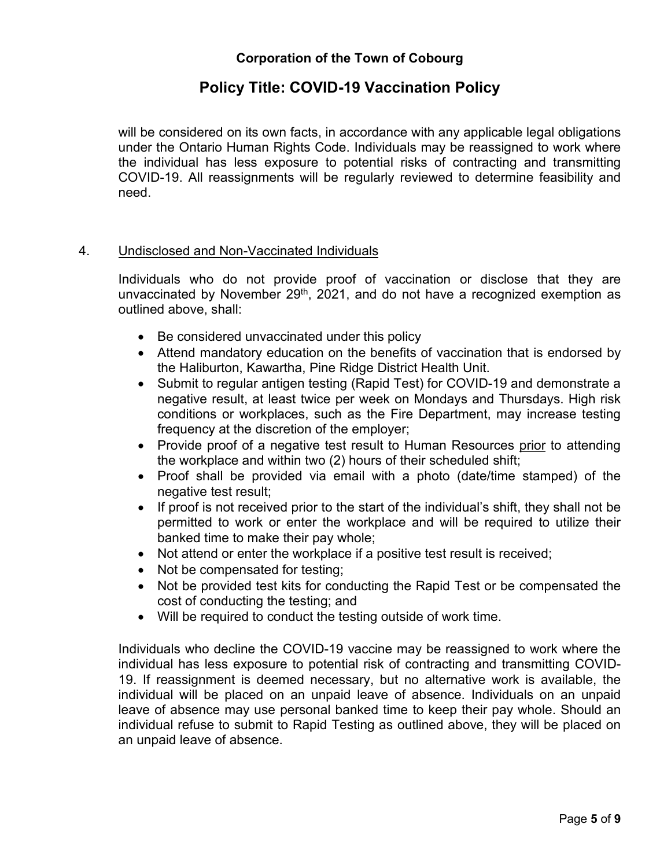## **Policy Title: COVID-19 Vaccination Policy**

will be considered on its own facts, in accordance with any applicable legal obligations under the Ontario Human Rights Code. Individuals may be reassigned to work where the individual has less exposure to potential risks of contracting and transmitting COVID-19. All reassignments will be regularly reviewed to determine feasibility and need.

#### 4. Undisclosed and Non-Vaccinated Individuals

Individuals who do not provide proof of vaccination or disclose that they are unvaccinated by November  $29<sup>th</sup>$ , 2021, and do not have a recognized exemption as outlined above, shall:

- Be considered unvaccinated under this policy
- Attend mandatory education on the benefits of vaccination that is endorsed by the Haliburton, Kawartha, Pine Ridge District Health Unit.
- Submit to regular antigen testing (Rapid Test) for COVID-19 and demonstrate a negative result, at least twice per week on Mondays and Thursdays. High risk conditions or workplaces, such as the Fire Department, may increase testing frequency at the discretion of the employer;
- Provide proof of a negative test result to Human Resources prior to attending the workplace and within two (2) hours of their scheduled shift;
- Proof shall be provided via email with a photo (date/time stamped) of the negative test result;
- If proof is not received prior to the start of the individual's shift, they shall not be permitted to work or enter the workplace and will be required to utilize their banked time to make their pay whole;
- Not attend or enter the workplace if a positive test result is received;
- Not be compensated for testing;
- Not be provided test kits for conducting the Rapid Test or be compensated the cost of conducting the testing; and
- Will be required to conduct the testing outside of work time.

Individuals who decline the COVID-19 vaccine may be reassigned to work where the individual has less exposure to potential risk of contracting and transmitting COVID-19. If reassignment is deemed necessary, but no alternative work is available, the individual will be placed on an unpaid leave of absence. Individuals on an unpaid leave of absence may use personal banked time to keep their pay whole. Should an individual refuse to submit to Rapid Testing as outlined above, they will be placed on an unpaid leave of absence.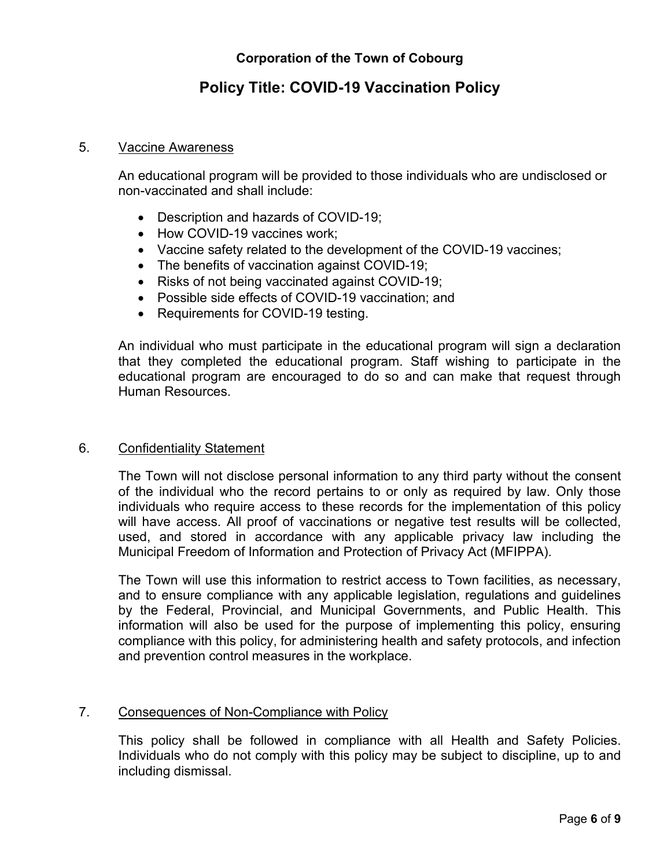# **Policy Title: COVID-19 Vaccination Policy**

#### 5. Vaccine Awareness

An educational program will be provided to those individuals who are undisclosed or non-vaccinated and shall include:

- Description and hazards of COVID-19;
- How COVID-19 vaccines work:
- Vaccine safety related to the development of the COVID-19 vaccines;
- The benefits of vaccination against COVID-19;
- Risks of not being vaccinated against COVID-19;
- Possible side effects of COVID-19 vaccination; and
- Requirements for COVID-19 testing.

An individual who must participate in the educational program will sign a declaration that they completed the educational program. Staff wishing to participate in the educational program are encouraged to do so and can make that request through Human Resources.

#### 6. Confidentiality Statement

The Town will not disclose personal information to any third party without the consent of the individual who the record pertains to or only as required by law. Only those individuals who require access to these records for the implementation of this policy will have access. All proof of vaccinations or negative test results will be collected, used, and stored in accordance with any applicable privacy law including the Municipal Freedom of Information and Protection of Privacy Act (MFIPPA).

The Town will use this information to restrict access to Town facilities, as necessary, and to ensure compliance with any applicable legislation, regulations and guidelines by the Federal, Provincial, and Municipal Governments, and Public Health. This information will also be used for the purpose of implementing this policy, ensuring compliance with this policy, for administering health and safety protocols, and infection and prevention control measures in the workplace.

## 7. Consequences of Non-Compliance with Policy

This policy shall be followed in compliance with all Health and Safety Policies. Individuals who do not comply with this policy may be subject to discipline, up to and including dismissal.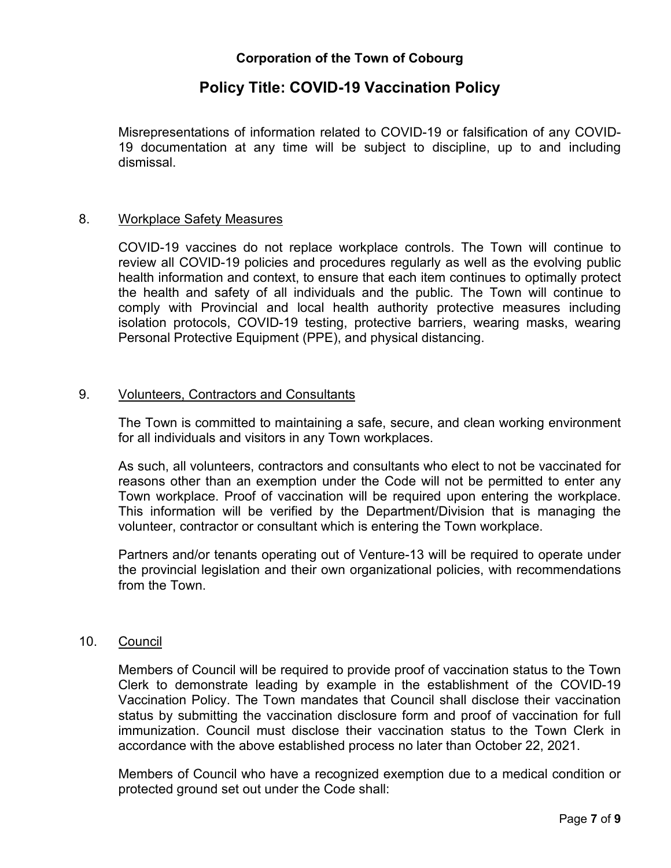## **Policy Title: COVID-19 Vaccination Policy**

Misrepresentations of information related to COVID-19 or falsification of any COVID-19 documentation at any time will be subject to discipline, up to and including dismissal.

#### 8. Workplace Safety Measures

COVID-19 vaccines do not replace workplace controls. The Town will continue to review all COVID-19 policies and procedures regularly as well as the evolving public health information and context, to ensure that each item continues to optimally protect the health and safety of all individuals and the public. The Town will continue to comply with Provincial and local health authority protective measures including isolation protocols, COVID-19 testing, protective barriers, wearing masks, wearing Personal Protective Equipment (PPE), and physical distancing.

#### 9. Volunteers, Contractors and Consultants

The Town is committed to maintaining a safe, secure, and clean working environment for all individuals and visitors in any Town workplaces.

As such, all volunteers, contractors and consultants who elect to not be vaccinated for reasons other than an exemption under the Code will not be permitted to enter any Town workplace. Proof of vaccination will be required upon entering the workplace. This information will be verified by the Department/Division that is managing the volunteer, contractor or consultant which is entering the Town workplace.

Partners and/or tenants operating out of Venture-13 will be required to operate under the provincial legislation and their own organizational policies, with recommendations from the Town.

## 10. Council

Members of Council will be required to provide proof of vaccination status to the Town Clerk to demonstrate leading by example in the establishment of the COVID-19 Vaccination Policy. The Town mandates that Council shall disclose their vaccination status by submitting the vaccination disclosure form and proof of vaccination for full immunization. Council must disclose their vaccination status to the Town Clerk in accordance with the above established process no later than October 22, 2021.

Members of Council who have a recognized exemption due to a medical condition or protected ground set out under the Code shall: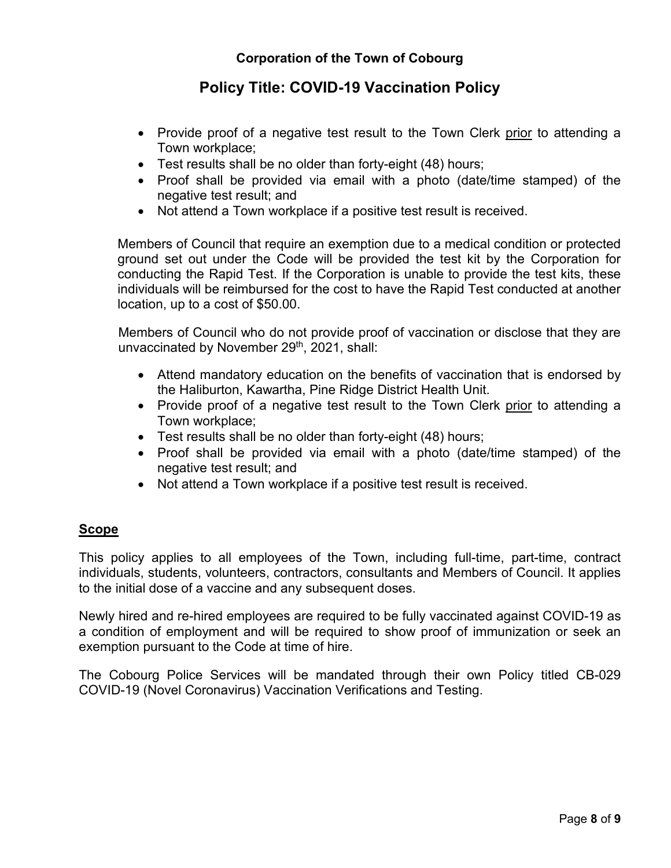# **Policy Title: COVID-19 Vaccination Policy**

- Provide proof of a negative test result to the Town Clerk prior to attending a Town workplace;
- Test results shall be no older than forty-eight (48) hours;
- Proof shall be provided via email with a photo (date/time stamped) of the negative test result; and
- Not attend a Town workplace if a positive test result is received.

Members of Council that require an exemption due to a medical condition or protected ground set out under the Code will be provided the test kit by the Corporation for conducting the Rapid Test. If the Corporation is unable to provide the test kits, these individuals will be reimbursed for the cost to have the Rapid Test conducted at another location, up to a cost of \$50.00.

Members of Council who do not provide proof of vaccination or disclose that they are unvaccinated by November 29<sup>th</sup>, 2021, shall:

- Attend mandatory education on the benefits of vaccination that is endorsed by the Haliburton, Kawartha, Pine Ridge District Health Unit.
- Provide proof of a negative test result to the Town Clerk prior to attending a Town workplace;
- Test results shall be no older than forty-eight (48) hours;
- Proof shall be provided via email with a photo (date/time stamped) of the negative test result; and
- Not attend a Town workplace if a positive test result is received.

## **Scope**

This policy applies to all employees of the Town, including full-time, part-time, contract individuals, students, volunteers, contractors, consultants and Members of Council. It applies to the initial dose of a vaccine and any subsequent doses.

Newly hired and re-hired employees are required to be fully vaccinated against COVID-19 as a condition of employment and will be required to show proof of immunization or seek an exemption pursuant to the Code at time of hire.

The Cobourg Police Services will be mandated through their own Policy titled CB-029 COVID-19 (Novel Coronavirus) Vaccination Verifications and Testing.